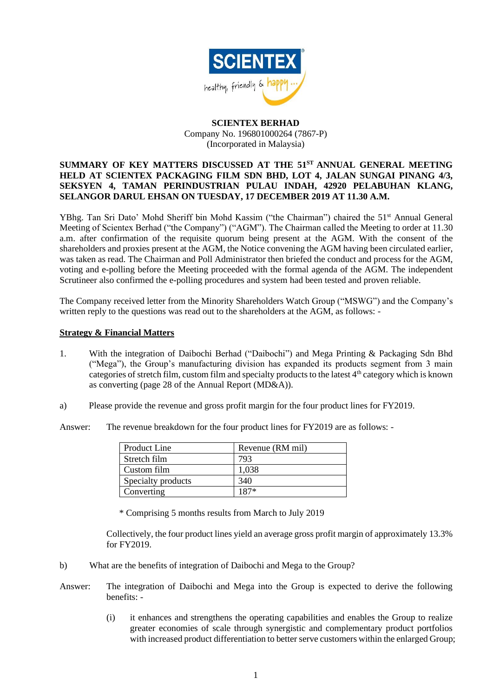

## **SCIENTEX BERHAD** Company No. 196801000264 (7867-P) (Incorporated in Malaysia)

## **SUMMARY OF KEY MATTERS DISCUSSED AT THE 51 ST ANNUAL GENERAL MEETING HELD AT SCIENTEX PACKAGING FILM SDN BHD, LOT 4, JALAN SUNGAI PINANG 4/3, SEKSYEN 4, TAMAN PERINDUSTRIAN PULAU INDAH, 42920 PELABUHAN KLANG, SELANGOR DARUL EHSAN ON TUESDAY, 17 DECEMBER 2019 AT 11.30 A.M.**

YBhg. Tan Sri Dato' Mohd Sheriff bin Mohd Kassim ("the Chairman") chaired the 51<sup>st</sup> Annual General Meeting of Scientex Berhad ("the Company") ("AGM"). The Chairman called the Meeting to order at 11.30 a.m. after confirmation of the requisite quorum being present at the AGM. With the consent of the shareholders and proxies present at the AGM, the Notice convening the AGM having been circulated earlier, was taken as read. The Chairman and Poll Administrator then briefed the conduct and process for the AGM, voting and e-polling before the Meeting proceeded with the formal agenda of the AGM. The independent Scrutineer also confirmed the e-polling procedures and system had been tested and proven reliable.

The Company received letter from the Minority Shareholders Watch Group ("MSWG") and the Company's written reply to the questions was read out to the shareholders at the AGM, as follows: -

## **Strategy & Financial Matters**

- 1. With the integration of Daibochi Berhad ("Daibochi") and Mega Printing & Packaging Sdn Bhd ("Mega"), the Group's manufacturing division has expanded its products segment from 3 main categories of stretch film, custom film and specialty products to the latest 4th category which is known as converting (page 28 of the Annual Report (MD&A)).
- a) Please provide the revenue and gross profit margin for the four product lines for FY2019.

Answer: The revenue breakdown for the four product lines for FY2019 are as follows: -

| Product Line       | Revenue (RM mil) |
|--------------------|------------------|
| Stretch film       | 793              |
| Custom film        | 1,038            |
| Specialty products | 340              |
| Converting         | $187*$           |

\* Comprising 5 months results from March to July 2019

Collectively, the four product lines yield an average gross profit margin of approximately 13.3% for FY2019.

- b) What are the benefits of integration of Daibochi and Mega to the Group?
- Answer: The integration of Daibochi and Mega into the Group is expected to derive the following benefits: -
	- (i) it enhances and strengthens the operating capabilities and enables the Group to realize greater economies of scale through synergistic and complementary product portfolios with increased product differentiation to better serve customers within the enlarged Group;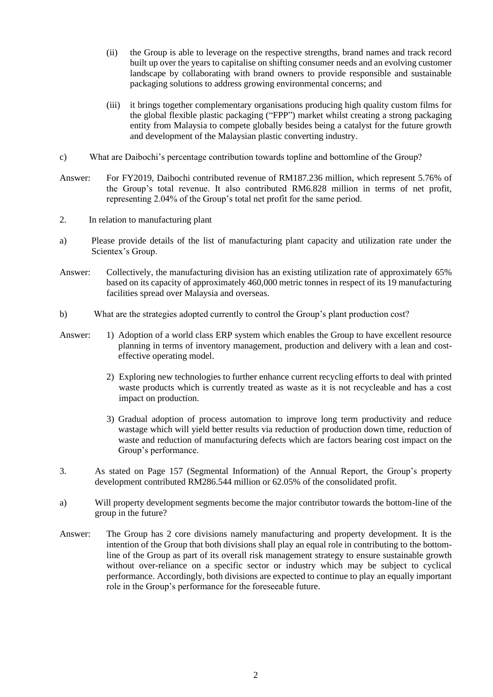- (ii) the Group is able to leverage on the respective strengths, brand names and track record built up over the years to capitalise on shifting consumer needs and an evolving customer landscape by collaborating with brand owners to provide responsible and sustainable packaging solutions to address growing environmental concerns; and
- (iii) it brings together complementary organisations producing high quality custom films for the global flexible plastic packaging ("FPP") market whilst creating a strong packaging entity from Malaysia to compete globally besides being a catalyst for the future growth and development of the Malaysian plastic converting industry.
- c) What are Daibochi's percentage contribution towards topline and bottomline of the Group?
- Answer: For FY2019, Daibochi contributed revenue of RM187.236 million, which represent 5.76% of the Group's total revenue. It also contributed RM6.828 million in terms of net profit, representing 2.04% of the Group's total net profit for the same period.
- 2. In relation to manufacturing plant
- a) Please provide details of the list of manufacturing plant capacity and utilization rate under the Scientex's Group.
- Answer: Collectively, the manufacturing division has an existing utilization rate of approximately 65% based on its capacity of approximately 460,000 metric tonnes in respect of its 19 manufacturing facilities spread over Malaysia and overseas.
- b) What are the strategies adopted currently to control the Group's plant production cost?
- Answer: 1) Adoption of a world class ERP system which enables the Group to have excellent resource planning in terms of inventory management, production and delivery with a lean and costeffective operating model.
	- 2) Exploring new technologies to further enhance current recycling efforts to deal with printed waste products which is currently treated as waste as it is not recycleable and has a cost impact on production.
	- 3) Gradual adoption of process automation to improve long term productivity and reduce wastage which will yield better results via reduction of production down time, reduction of waste and reduction of manufacturing defects which are factors bearing cost impact on the Group's performance.
- 3. As stated on Page 157 (Segmental Information) of the Annual Report, the Group's property development contributed RM286.544 million or 62.05% of the consolidated profit.
- a) Will property development segments become the major contributor towards the bottom-line of the group in the future?
- Answer: The Group has 2 core divisions namely manufacturing and property development. It is the intention of the Group that both divisions shall play an equal role in contributing to the bottomline of the Group as part of its overall risk management strategy to ensure sustainable growth without over-reliance on a specific sector or industry which may be subject to cyclical performance. Accordingly, both divisions are expected to continue to play an equally important role in the Group's performance for the foreseeable future.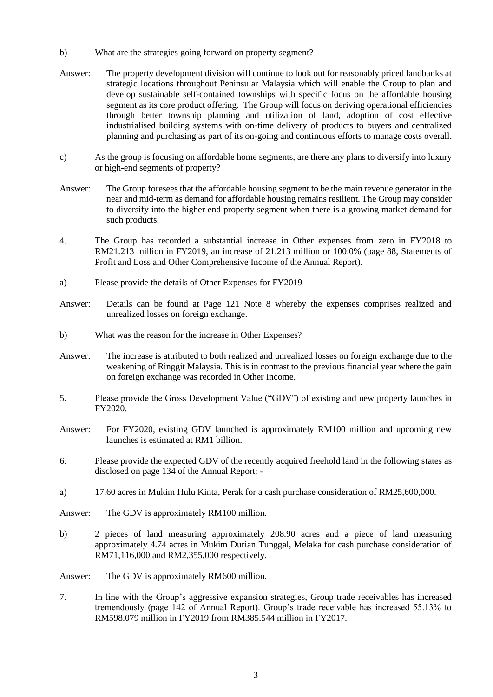- b) What are the strategies going forward on property segment?
- Answer: The property development division will continue to look out for reasonably priced landbanks at strategic locations throughout Peninsular Malaysia which will enable the Group to plan and develop sustainable self-contained townships with specific focus on the affordable housing segment as its core product offering. The Group will focus on deriving operational efficiencies through better township planning and utilization of land, adoption of cost effective industrialised building systems with on-time delivery of products to buyers and centralized planning and purchasing as part of its on-going and continuous efforts to manage costs overall.
- c) As the group is focusing on affordable home segments, are there any plans to diversify into luxury or high-end segments of property?
- Answer: The Group foresees that the affordable housing segment to be the main revenue generator in the near and mid-term as demand for affordable housing remains resilient. The Group may consider to diversify into the higher end property segment when there is a growing market demand for such products.
- 4. The Group has recorded a substantial increase in Other expenses from zero in FY2018 to RM21.213 million in FY2019, an increase of 21.213 million or 100.0% (page 88, Statements of Profit and Loss and Other Comprehensive Income of the Annual Report).
- a) Please provide the details of Other Expenses for FY2019
- Answer: Details can be found at Page 121 Note 8 whereby the expenses comprises realized and unrealized losses on foreign exchange.
- b) What was the reason for the increase in Other Expenses?
- Answer: The increase is attributed to both realized and unrealized losses on foreign exchange due to the weakening of Ringgit Malaysia. This is in contrast to the previous financial year where the gain on foreign exchange was recorded in Other Income.
- 5. Please provide the Gross Development Value ("GDV") of existing and new property launches in FY2020.
- Answer: For FY2020, existing GDV launched is approximately RM100 million and upcoming new launches is estimated at RM1 billion.
- 6. Please provide the expected GDV of the recently acquired freehold land in the following states as disclosed on page 134 of the Annual Report: -
- a) 17.60 acres in Mukim Hulu Kinta, Perak for a cash purchase consideration of RM25,600,000.
- Answer: The GDV is approximately RM100 million.
- b) 2 pieces of land measuring approximately 208.90 acres and a piece of land measuring approximately 4.74 acres in Mukim Durian Tunggal, Melaka for cash purchase consideration of RM71,116,000 and RM2,355,000 respectively.
- Answer: The GDV is approximately RM600 million.
- 7. In line with the Group's aggressive expansion strategies, Group trade receivables has increased tremendously (page 142 of Annual Report). Group's trade receivable has increased 55.13% to RM598.079 million in FY2019 from RM385.544 million in FY2017.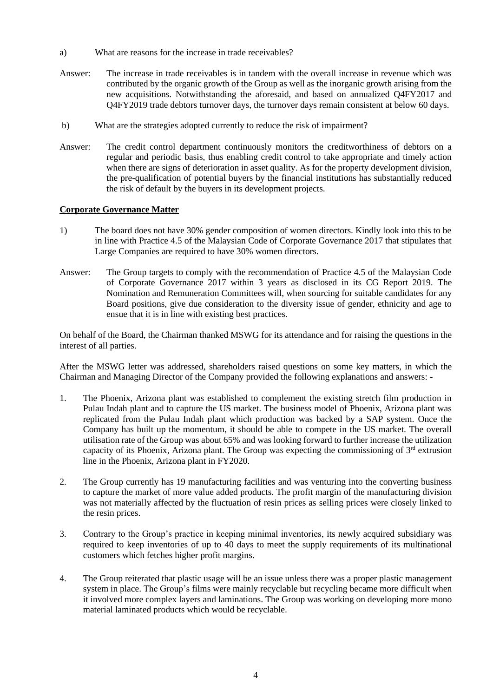- a) What are reasons for the increase in trade receivables?
- Answer: The increase in trade receivables is in tandem with the overall increase in revenue which was contributed by the organic growth of the Group as well as the inorganic growth arising from the new acquisitions. Notwithstanding the aforesaid, and based on annualized Q4FY2017 and Q4FY2019 trade debtors turnover days, the turnover days remain consistent at below 60 days.
- b) What are the strategies adopted currently to reduce the risk of impairment?
- Answer: The credit control department continuously monitors the creditworthiness of debtors on a regular and periodic basis, thus enabling credit control to take appropriate and timely action when there are signs of deterioration in asset quality. As for the property development division, the pre-qualification of potential buyers by the financial institutions has substantially reduced the risk of default by the buyers in its development projects.

## **Corporate Governance Matter**

- 1) The board does not have 30% gender composition of women directors. Kindly look into this to be in line with Practice 4.5 of the Malaysian Code of Corporate Governance 2017 that stipulates that Large Companies are required to have 30% women directors.
- Answer: The Group targets to comply with the recommendation of Practice 4.5 of the Malaysian Code of Corporate Governance 2017 within 3 years as disclosed in its CG Report 2019. The Nomination and Remuneration Committees will, when sourcing for suitable candidates for any Board positions, give due consideration to the diversity issue of gender, ethnicity and age to ensue that it is in line with existing best practices.

On behalf of the Board, the Chairman thanked MSWG for its attendance and for raising the questions in the interest of all parties.

After the MSWG letter was addressed, shareholders raised questions on some key matters, in which the Chairman and Managing Director of the Company provided the following explanations and answers: -

- 1. The Phoenix, Arizona plant was established to complement the existing stretch film production in Pulau Indah plant and to capture the US market. The business model of Phoenix, Arizona plant was replicated from the Pulau Indah plant which production was backed by a SAP system. Once the Company has built up the momentum, it should be able to compete in the US market. The overall utilisation rate of the Group was about 65% and was looking forward to further increase the utilization capacity of its Phoenix, Arizona plant. The Group was expecting the commissioning of  $3<sup>rd</sup>$  extrusion line in the Phoenix, Arizona plant in FY2020.
- 2. The Group currently has 19 manufacturing facilities and was venturing into the converting business to capture the market of more value added products. The profit margin of the manufacturing division was not materially affected by the fluctuation of resin prices as selling prices were closely linked to the resin prices.
- 3. Contrary to the Group's practice in keeping minimal inventories, its newly acquired subsidiary was required to keep inventories of up to 40 days to meet the supply requirements of its multinational customers which fetches higher profit margins.
- 4. The Group reiterated that plastic usage will be an issue unless there was a proper plastic management system in place. The Group's films were mainly recyclable but recycling became more difficult when it involved more complex layers and laminations. The Group was working on developing more mono material laminated products which would be recyclable.